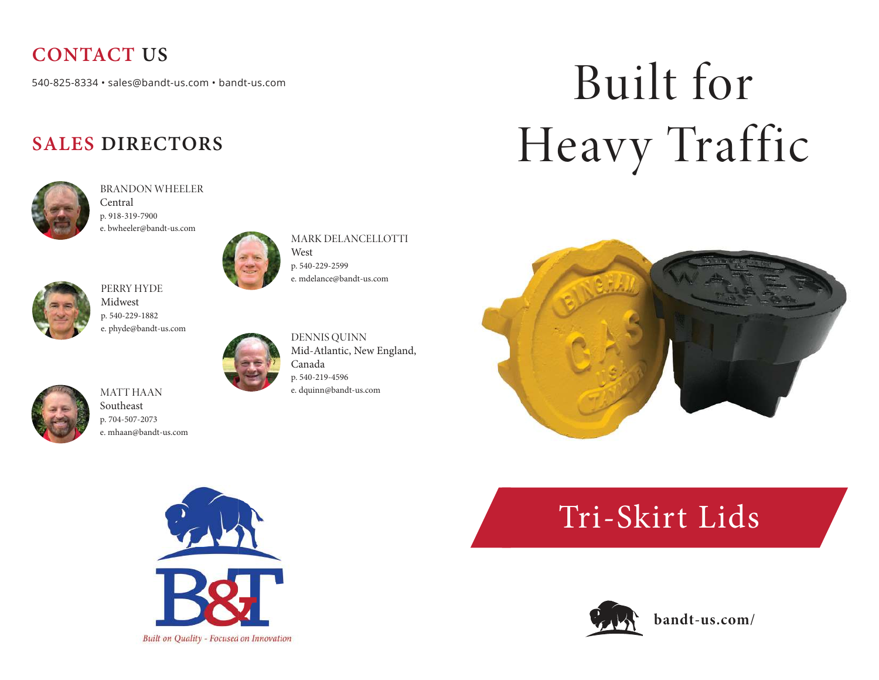### **CONTACT US**

540-825-8334 · sales@bandt-us.com · bandt-us.com

#### **SALES DIRECTORS**



BRANDON WHEELER Central p. 918-319-7900 e. bwheeler@bandt-us.com



MARK DELANCELLOTTI West

p. 540-229-2599 e. mdelance@bandt-us.com



PERRY HYDE Midwest p. 540-229-1882 e. phyde@bandt-us.com



DENNIS QUINN Mid-Atlantic, New England, Canada p. 540-219-4596 e. dquinn@bandt-us.com

# Built for Heavy Traffic





MATT HAAN Southeast p. 704-507-2073 e. mhaan@bandt-us.com



## Tri-Skirt Lids



**bandt-us.com/**